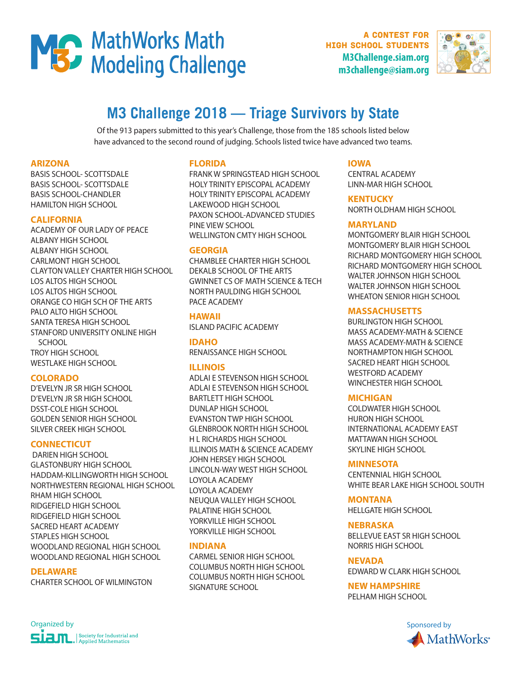

A contest for high school students **M3Challenge.siam.org m3challenge@siam.org**



# **M3 Challenge 2018 — Triage Survivors by State**

Of the 913 papers submitted to this year's Challenge, those from the 185 schools listed below have advanced to the second round of judging. Schools listed twice have advanced two teams.

# **ARIZONA**

BASIS SCHOOL- SCOTTSDALE BASIS SCHOOL- SCOTTSDALE BASIS SCHOOL-CHANDLER HAMILTON HIGH SCHOOL

# **CALIFORNIA**

ACADEMY OF OUR LADY OF PEACE ALBANY HIGH SCHOOL ALBANY HIGH SCHOOL CARLMONT HIGH SCHOOL CLAYTON VALLEY CHARTER HIGH SCHOOL LOS ALTOS HIGH SCHOOL LOS ALTOS HIGH SCHOOL ORANGE CO HIGH SCH OF THE ARTS PALO ALTO HIGH SCHOOL SANTA TERESA HIGH SCHOOL STANFORD UNIVERSITY ONLINE HIGH **SCHOOL** TROY HIGH SCHOOL WESTLAKE HIGH SCHOOL

### **COLORADO**

D'EVELYN JR SR HIGH SCHOOL D'EVELYN JR SR HIGH SCHOOL DSST-COLE HIGH SCHOOL GOLDEN SENIOR HIGH SCHOOL SILVER CREEK HIGH SCHOOL

### **CONNECTICUT**

 DARIEN HIGH SCHOOL GLASTONBURY HIGH SCHOOL HADDAM-KILLINGWORTH HIGH SCHOOL NORTHWESTERN REGIONAL HIGH SCHOOL RHAM HIGH SCHOOL RIDGEFIELD HIGH SCHOOL RIDGEFIELD HIGH SCHOOL SACRED HEART ACADEMY STAPLES HIGH SCHOOL WOODLAND REGIONAL HIGH SCHOOL WOODLAND REGIONAL HIGH SCHOOL

### **DELAWARE**

CHARTER SCHOOL OF WILMINGTON

### **FLORIDA**

FRANK W SPRINGSTEAD HIGH SCHOOL HOLY TRINITY EPISCOPAL ACADEMY HOLY TRINITY EPISCOPAL ACADEMY LAKEWOOD HIGH SCHOOL PAXON SCHOOL-ADVANCED STUDIES PINE VIEW SCHOOL WELLINGTON CMTY HIGH SCHOOL

# **GEORGIA**

CHAMBLEE CHARTER HIGH SCHOOL DEKALB SCHOOL OF THE ARTS GWINNET CS OF MATH SCIENCE & TECH NORTH PAULDING HIGH SCHOOL PACE ACADEMY

**HAWAII**  ISLAND PACIFIC ACADEMY

**IDAHO**  RENAISSANCE HIGH SCHOOL

### **ILLINOIS**

ADLAI E STEVENSON HIGH SCHOOL ADLAI E STEVENSON HIGH SCHOOL BARTLETT HIGH SCHOOL DUNLAP HIGH SCHOOL EVANSTON TWP HIGH SCHOOL GLENBROOK NORTH HIGH SCHOOL H L RICHARDS HIGH SCHOOL ILLINOIS MATH & SCIENCE ACADEMY JOHN HERSEY HIGH SCHOOL LINCOLN-WAY WEST HIGH SCHOOL LOYOLA ACADEMY LOYOLA ACADEMY NEUQUA VALLEY HIGH SCHOOL PALATINE HIGH SCHOOL YORKVILLE HIGH SCHOOL YORKVILLE HIGH SCHOOL

# **INDIANA**

CARMEL SENIOR HIGH SCHOOL COLUMBUS NORTH HIGH SCHOOL COLUMBUS NORTH HIGH SCHOOL SIGNATURE SCHOOL

# **IOWA**

CENTRAL ACADEMY LINN-MAR HIGH SCHOOL

### **KENTUCKY**

NORTH OLDHAM HIGH SCHOOL

# **MARYLAND**

MONTGOMERY BLAIR HIGH SCHOOL MONTGOMERY BLAIR HIGH SCHOOL RICHARD MONTGOMERY HIGH SCHOOL RICHARD MONTGOMERY HIGH SCHOOL WALTER JOHNSON HIGH SCHOOL WALTER JOHNSON HIGH SCHOOL WHEATON SENIOR HIGH SCHOOL

# **MASSACHUSETTS**

BURLINGTON HIGH SCHOOL MASS ACADEMY-MATH & SCIENCE MASS ACADEMY-MATH & SCIENCE NORTHAMPTON HIGH SCHOOL SACRED HEART HIGH SCHOOL WESTFORD ACADEMY WINCHESTER HIGH SCHOOL

### **MICHIGAN**

COLDWATER HIGH SCHOOL HURON HIGH SCHOOL INTERNATIONAL ACADEMY EAST MATTAWAN HIGH SCHOOL SKYLINE HIGH SCHOOL

### **MINNESOTA**

CENTENNIAL HIGH SCHOOL WHITE BEAR LAKE HIGH SCHOOL SOUTH

### **MONTANA**

HELLGATE HIGH SCHOOL

### **NEBRASKA**

BELLEVUE EAST SR HIGH SCHOOL NORRIS HIGH SCHOOL

### **NEVADA**

EDWARD W CLARK HIGH SCHOOL

# **NEW HAMPSHIRE**

PELHAM HIGH SCHOOL